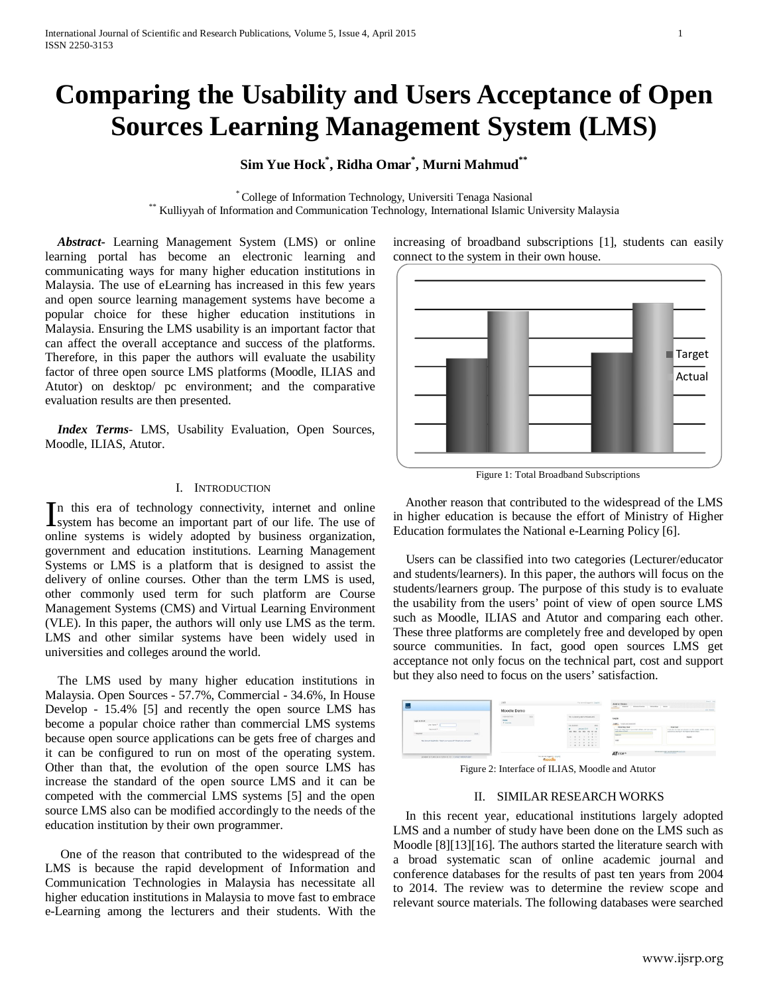# **Comparing the Usability and Users Acceptance of Open Sources Learning Management System (LMS)**

# **Sim Yue Hock\* , Ridha Omar\* , Murni Mahmud\*\***

\* College of Information Technology, Universiti Tenaga Nasional \*\* Kulliyyah of Information and Communication Technology, International Islamic University Malaysia

 *Abstract***-** Learning Management System (LMS) or online learning portal has become an electronic learning and communicating ways for many higher education institutions in Malaysia. The use of eLearning has increased in this few years and open source learning management systems have become a popular choice for these higher education institutions in Malaysia. Ensuring the LMS usability is an important factor that can affect the overall acceptance and success of the platforms. Therefore, in this paper the authors will evaluate the usability factor of three open source LMS platforms (Moodle, ILIAS and Atutor) on desktop/ pc environment; and the comparative evaluation results are then presented.

 *Index Terms*- LMS, Usability Evaluation, Open Sources, Moodle, ILIAS, Atutor.

#### I. INTRODUCTION

n this era of technology connectivity, internet and online In this era of technology connectivity, internet and online system has become an important part of our life. The use of online systems is widely adopted by business organization, government and education institutions. Learning Management Systems or LMS is a platform that is designed to assist the delivery of online courses. Other than the term LMS is used, other commonly used term for such platform are Course Management Systems (CMS) and Virtual Learning Environment (VLE). In this paper, the authors will only use LMS as the term. LMS and other similar systems have been widely used in universities and colleges around the world.

 The LMS used by many higher education institutions in Malaysia. Open Sources - 57.7%, Commercial - 34.6%, In House Develop - 15.4% [5] and recently the open source LMS has become a popular choice rather than commercial LMS systems because open source applications can be gets free of charges and it can be configured to run on most of the operating system. Other than that, the evolution of the open source LMS has increase the standard of the open source LMS and it can be competed with the commercial LMS systems [5] and the open source LMS also can be modified accordingly to the needs of the education institution by their own programmer.

 One of the reason that contributed to the widespread of the LMS is because the rapid development of Information and Communication Technologies in Malaysia has necessitate all higher education institutions in Malaysia to move fast to embrace e-Learning among the lecturers and their students. With the increasing of broadband subscriptions [1], students can easily connect to the system in their own house.



Figure 1: Total Broadband Subscriptions

 Another reason that contributed to the widespread of the LMS in higher education is because the effort of Ministry of Higher Education formulates the National e-Learning Policy [6].

 Users can be classified into two categories (Lecturer/educator and students/learners). In this paper, the authors will focus on the students/learners group. The purpose of this study is to evaluate the usability from the users' point of view of open source LMS such as Moodle, ILIAS and Atutor and comparing each other. These three platforms are completely free and developed by open source communities. In fact, good open sources LMS get acceptance not only focus on the technical part, cost and support but they also need to focus on the users' satisfaction.

| <b>Las</b>                                                                                                                                              | LMS                                          |                                               | This was not kipped in . Cargin's                                                                                                             | Atabor Demo<br>$\omega\mu$<br>Shows-Southern - Industries - Notes<br><b>Rodok</b>                                                                                                     | <b>Search Hale</b>                                                                                                                             |
|---------------------------------------------------------------------------------------------------------------------------------------------------------|----------------------------------------------|-----------------------------------------------|-----------------------------------------------------------------------------------------------------------------------------------------------|---------------------------------------------------------------------------------------------------------------------------------------------------------------------------------------|------------------------------------------------------------------------------------------------------------------------------------------------|
|                                                                                                                                                         | Moodle Demo                                  |                                               |                                                                                                                                               |                                                                                                                                                                                       | <b>ARTIMER</b>                                                                                                                                 |
| Legislat (LEA)<br>User Nome Y<br>Patrick <sup>y</sup><br>Loan.<br>* Results<br>Non-Normark Registration. King at your password Perget your construction | <b>HARLATION</b><br><b>NAME</b><br>F Courses | <b>RE</b>                                     | This is a testing ide to Mostle Lists<br><b>CALENDAR</b><br>mm.<br>Jamany 3015<br>be the by the fix or be<br>$1.11 - 1.1$<br>.<br>.<br>.<br>. | Legin<br>market. Count and presented.<br><b>Business They</b><br>firity you half note in your anal address, and unanapproved.<br>Leat Game at these<br><b>Painting</b><br><b>Lake</b> | Ann Sher<br>If you do not have an annued on this system, about creating a rest<br>according policy or the hopping bullon below.<br><b>Auto</b> |
| powerby 6,96 cm a s 20s cm 20 1 Comer administery                                                                                                       |                                              | Thursdore and Inspection, Subsidiar<br>moodle |                                                                                                                                               | ATUTOR®                                                                                                                                                                               | Molecule concentration and the                                                                                                                 |

Figure 2: Interface of ILIAS, Moodle and Atutor

## II. SIMILAR RESEARCH WORKS

 In this recent year, educational institutions largely adopted LMS and a number of study have been done on the LMS such as Moodle [8][13][16]. The authors started the literature search with a broad systematic scan of online academic journal and conference databases for the results of past ten years from 2004 to 2014. The review was to determine the review scope and relevant source materials. The following databases were searched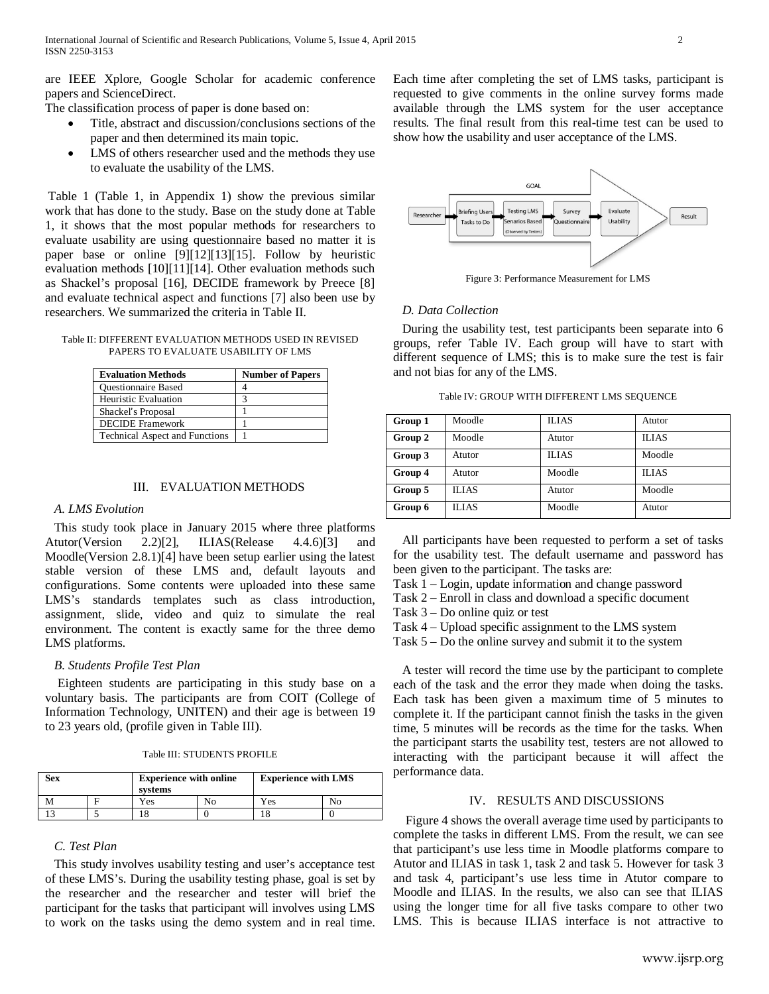are IEEE Xplore, Google Scholar for academic conference papers and ScienceDirect.

The classification process of paper is done based on:

- Title, abstract and discussion/conclusions sections of the paper and then determined its main topic.
- LMS of others researcher used and the methods they use to evaluate the usability of the LMS.

Table 1 (Table 1, in Appendix 1) show the previous similar work that has done to the study. Base on the study done at Table 1, it shows that the most popular methods for researchers to evaluate usability are using questionnaire based no matter it is paper base or online [9][12][13][15]. Follow by heuristic evaluation methods [10][11][14]. Other evaluation methods such as Shackel's proposal [16], DECIDE framework by Preece [8] and evaluate technical aspect and functions [7] also been use by researchers. We summarized the criteria in Table II.

Table II: DIFFERENT EVALUATION METHODS USED IN REVISED PAPERS TO EVALUATE USABILITY OF LMS

| <b>Evaluation Methods</b>             | <b>Number of Papers</b> |
|---------------------------------------|-------------------------|
| <b>Ouestionnaire Based</b>            |                         |
| <b>Heuristic Evaluation</b>           |                         |
| Shackel's Proposal                    |                         |
| <b>DECIDE</b> Framework               |                         |
| <b>Technical Aspect and Functions</b> |                         |

#### III. EVALUATION METHODS

#### *A. LMS Evolution*

This study took place in January 2015 where three platforms Atutor(Version 2.2)[2], ILIAS(Release 4.4.6)[3] and Moodle(Version 2.8.1)[4] have been setup earlier using the latest stable version of these LMS and, default layouts and configurations. Some contents were uploaded into these same LMS's standards templates such as class introduction, assignment, slide, video and quiz to simulate the real environment. The content is exactly same for the three demo LMS platforms.

#### *B. Students Profile Test Plan*

 Eighteen students are participating in this study base on a voluntary basis. The participants are from COIT (College of Information Technology, UNITEN) and their age is between 19 to 23 years old, (profile given in Table III).

|  |  | Table III: STUDENTS PROFILE |  |
|--|--|-----------------------------|--|
|--|--|-----------------------------|--|

| <b>Sex</b> | <b>Experience with online</b><br>systems | <b>Experience with LMS</b> |  |
|------------|------------------------------------------|----------------------------|--|
|            | 'es                                      | Yes                        |  |
|            |                                          |                            |  |

#### *C. Test Plan*

This study involves usability testing and user's acceptance test of these LMS's. During the usability testing phase, goal is set by the researcher and the researcher and tester will brief the participant for the tasks that participant will involves using LMS to work on the tasks using the demo system and in real time.

Each time after completing the set of LMS tasks, participant is requested to give comments in the online survey forms made available through the LMS system for the user acceptance results. The final result from this real-time test can be used to show how the usability and user acceptance of the LMS.



Figure 3: Performance Measurement for LMS

### *D. Data Collection*

During the usability test, test participants been separate into 6 groups, refer Table IV. Each group will have to start with different sequence of LMS; this is to make sure the test is fair and not bias for any of the LMS.

Table IV: GROUP WITH DIFFERENT LMS SEQUENCE

| Group 1 | Moodle       | <b>ILIAS</b> | Atutor       |
|---------|--------------|--------------|--------------|
| Group 2 | Moodle       | Atutor       | <b>ILIAS</b> |
| Group 3 | Atutor       | <b>ILIAS</b> | Moodle       |
| Group 4 | Atutor       | Moodle       | <b>ILIAS</b> |
| Group 5 | <b>ILIAS</b> | Atutor       | Moodle       |
| Group 6 | <b>ILIAS</b> | Moodle       | Atutor       |

All participants have been requested to perform a set of tasks for the usability test. The default username and password has been given to the participant. The tasks are:

Task 1 – Login, update information and change password

Task 2 – Enroll in class and download a specific document

Task 3 – Do online quiz or test

Task 4 – Upload specific assignment to the LMS system

Task 5 – Do the online survey and submit it to the system

A tester will record the time use by the participant to complete each of the task and the error they made when doing the tasks. Each task has been given a maximum time of 5 minutes to complete it. If the participant cannot finish the tasks in the given time, 5 minutes will be records as the time for the tasks. When the participant starts the usability test, testers are not allowed to interacting with the participant because it will affect the performance data.

## IV. RESULTS AND DISCUSSIONS

 Figure 4 shows the overall average time used by participants to complete the tasks in different LMS. From the result, we can see that participant's use less time in Moodle platforms compare to Atutor and ILIAS in task 1, task 2 and task 5. However for task 3 and task 4, participant's use less time in Atutor compare to Moodle and ILIAS. In the results, we also can see that ILIAS using the longer time for all five tasks compare to other two LMS. This is because ILIAS interface is not attractive to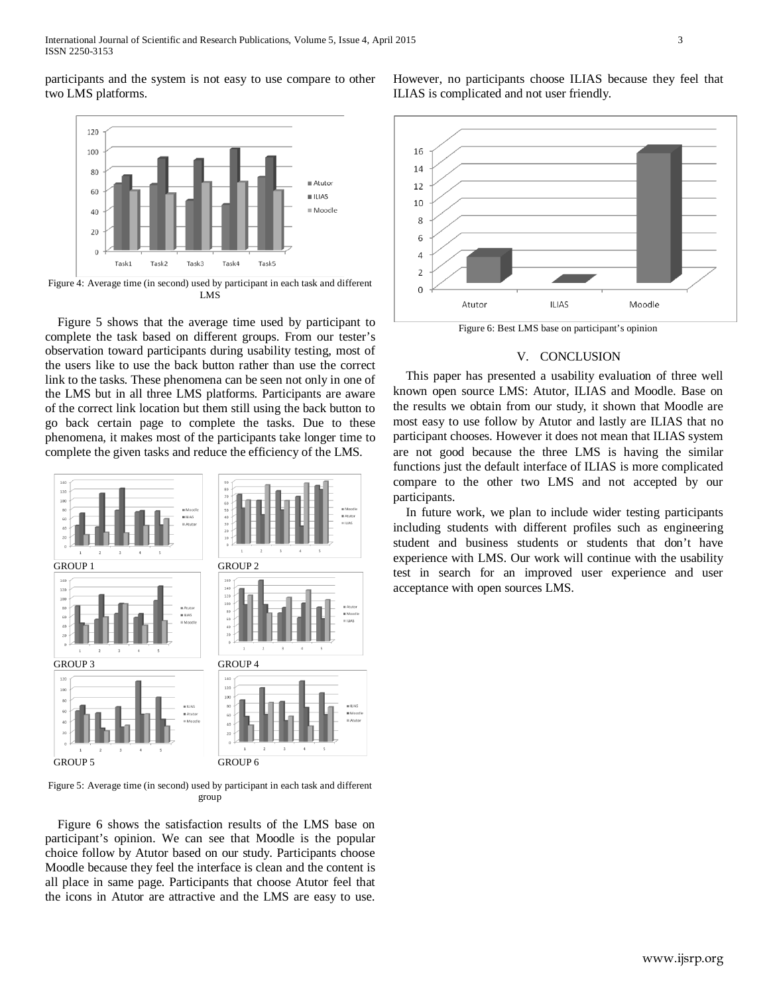participants and the system is not easy to use compare to other two LMS platforms.



 Figure 5 shows that the average time used by participant to complete the task based on different groups. From our tester's observation toward participants during usability testing, most of the users like to use the back button rather than use the correct link to the tasks. These phenomena can be seen not only in one of the LMS but in all three LMS platforms. Participants are aware of the correct link location but them still using the back button to go back certain page to complete the tasks. Due to these phenomena, it makes most of the participants take longer time to complete the given tasks and reduce the efficiency of the LMS.



Figure 5: Average time (in second) used by participant in each task and different group

 Figure 6 shows the satisfaction results of the LMS base on participant's opinion. We can see that Moodle is the popular choice follow by Atutor based on our study. Participants choose Moodle because they feel the interface is clean and the content is all place in same page. Participants that choose Atutor feel that the icons in Atutor are attractive and the LMS are easy to use.

However, no participants choose ILIAS because they feel that ILIAS is complicated and not user friendly.



### V. CONCLUSION

This paper has presented a usability evaluation of three well known open source LMS: Atutor, ILIAS and Moodle. Base on the results we obtain from our study, it shown that Moodle are most easy to use follow by Atutor and lastly are ILIAS that no participant chooses. However it does not mean that ILIAS system are not good because the three LMS is having the similar functions just the default interface of ILIAS is more complicated compare to the other two LMS and not accepted by our participants.

In future work, we plan to include wider testing participants including students with different profiles such as engineering student and business students or students that don't have experience with LMS. Our work will continue with the usability test in search for an improved user experience and user acceptance with open sources LMS.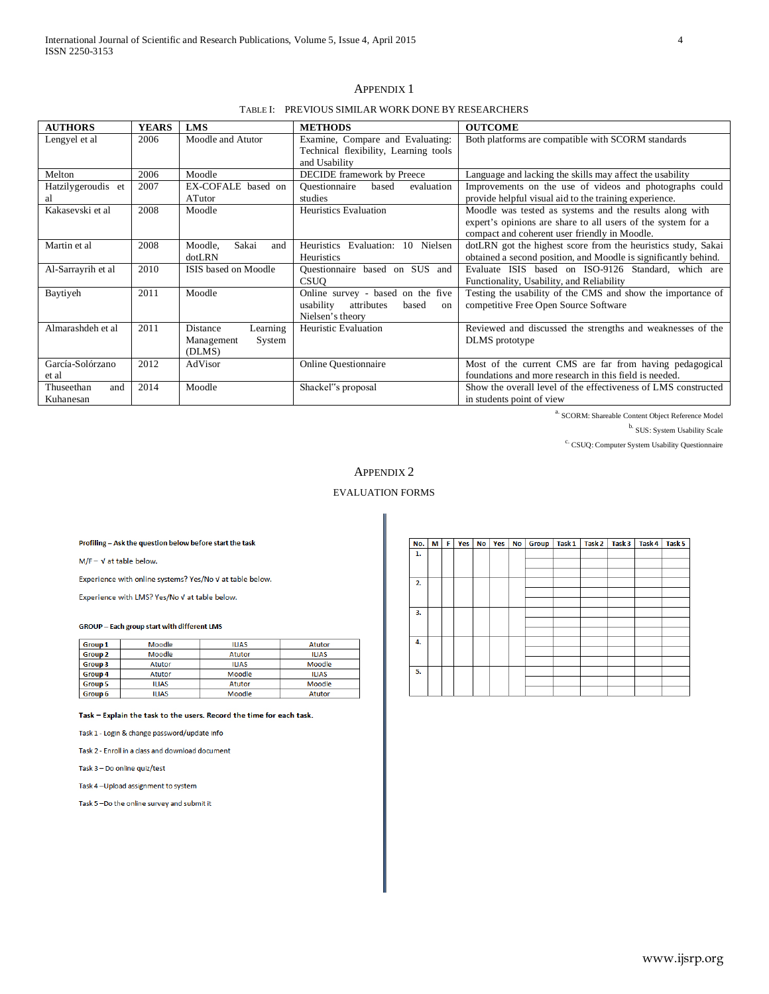| <b>AUTHORS</b>                 | <b>YEARS</b> | LMS                                                    | <b>METHODS</b>                                                                                  | <b>OUTCOME</b>                                                                                                                                                           |
|--------------------------------|--------------|--------------------------------------------------------|-------------------------------------------------------------------------------------------------|--------------------------------------------------------------------------------------------------------------------------------------------------------------------------|
| Lengyel et al                  | 2006         | Moodle and Atutor                                      | Examine, Compare and Evaluating:<br>Technical flexibility, Learning tools<br>and Usability      | Both platforms are compatible with SCORM standards                                                                                                                       |
| Melton                         | 2006         | Moodle                                                 | DECIDE framework by Preece                                                                      | Language and lacking the skills may affect the usability                                                                                                                 |
| Hatzilygeroudis et<br>al       | 2007         | EX-COFALE based on<br>ATutor                           | evaluation<br><b>Ouestionnaire</b><br>based<br>studies                                          | Improvements on the use of videos and photographs could<br>provide helpful visual aid to the training experience.                                                        |
| Kakasevski et al               | 2008         | Moodle                                                 | <b>Heuristics Evaluation</b>                                                                    | Moodle was tested as systems and the results along with<br>expert's opinions are share to all users of the system for a<br>compact and coherent user friendly in Moodle. |
| Martin et al                   | 2008         | Sakai<br>Moodle.<br>and<br>$dot$ RN                    | Heuristics Evaluation: 10 Nielsen<br>Heuristics                                                 | dotLRN got the highest score from the heuristics study, Sakai<br>obtained a second position, and Moodle is significantly behind.                                         |
| Al-Sarrayrih et al             | 2010         | ISIS based on Moodle                                   | Questionnaire based on SUS and<br><b>CSUO</b>                                                   | Evaluate ISIS based on ISO-9126 Standard, which are<br>Functionality, Usability, and Reliability                                                                         |
| Baytiyeh                       | 2011         | Moodle                                                 | Online survey - based on the five<br>attributes<br>usability<br>based<br>on<br>Nielsen's theory | Testing the usability of the CMS and show the importance of<br>competitive Free Open Source Software                                                                     |
| Almarashdeh et al              | 2011         | Distance<br>Learning<br>Management<br>System<br>(DLMS) | <b>Heuristic Evaluation</b>                                                                     | Reviewed and discussed the strengths and weaknesses of the<br>DLMS prototype                                                                                             |
| García-Solórzano<br>et al      | 2012         | AdVisor                                                | <b>Online Questionnaire</b>                                                                     | Most of the current CMS are far from having pedagogical<br>foundations and more research in this field is needed.                                                        |
| Thuseethan<br>and<br>Kuhanesan | 2014         | Moodle                                                 | Shackel"s proposal                                                                              | Show the overall level of the effectiveness of LMS constructed<br>in students point of view                                                                              |

### APPENDIX 1

TABLE I: PREVIOUS SIMILAR WORK DONE BY RESEARCHERS

a. SCORM: Shareable Content Object Reference Model

b. SUS: System Usability Scale

c. CSUQ: Computer System Usability Questionnaire

# APPENDIX 2

# EVALUATION FORMS

Profiling - Ask the question below before start the task

 $M/F - V$  at table below.

Experience with online systems? Yes/No v at table below.

Experience with LMS? Yes/No V at table below.

#### **GROUP** - Each group start with different LMS

| <b>Group 1</b> | Moodle        | <b>ILIAS</b>  | <b>Atutor</b> |
|----------------|---------------|---------------|---------------|
| <b>Group 2</b> | Moodle        | <b>Atutor</b> | <b>ILIAS</b>  |
| <b>Group 3</b> | <b>Atutor</b> | <b>ILIAS</b>  | Moodle        |
| <b>Group 4</b> | <b>Atutor</b> | Moodle        | <b>ILIAS</b>  |
| <b>Group 5</b> | <b>ILIAS</b>  | Atutor        | Moodle        |
| Group 6        | <b>ILIAS</b>  | Moodle        | Atutor        |

#### Task - Explain the task to the users. Record the time for each task.

Task 1 - Login & change password/update info

Task 2 - Enroll in a class and download document

Task 3 - Do online quiz/test

Task 4-Upload assignment to system

Task 5-Do the online survey and submit it

| No. | мI | F. | Yes | No <sub>1</sub> | Yes No |  | Group   Task 1 | Task 2 | Task <sub>3</sub> | Task 4 | Task 5 |
|-----|----|----|-----|-----------------|--------|--|----------------|--------|-------------------|--------|--------|
| 1.  |    |    |     |                 |        |  |                |        |                   |        |        |
|     |    |    |     |                 |        |  |                |        |                   |        |        |
|     |    |    |     |                 |        |  |                |        |                   |        |        |
| 2.  |    |    |     |                 |        |  |                |        |                   |        |        |
|     |    |    |     |                 |        |  |                |        |                   |        |        |
|     |    |    |     |                 |        |  |                |        |                   |        |        |
| 3.  |    |    |     |                 |        |  |                |        |                   |        |        |
|     |    |    |     |                 |        |  |                |        |                   |        |        |
|     |    |    |     |                 |        |  |                |        |                   |        |        |
| 4.  |    |    |     |                 |        |  |                |        |                   |        |        |
|     |    |    |     |                 |        |  |                |        |                   |        |        |
|     |    |    |     |                 |        |  |                |        |                   |        |        |
| 5.  |    |    |     |                 |        |  |                |        |                   |        |        |
|     |    |    |     |                 |        |  |                |        |                   |        |        |